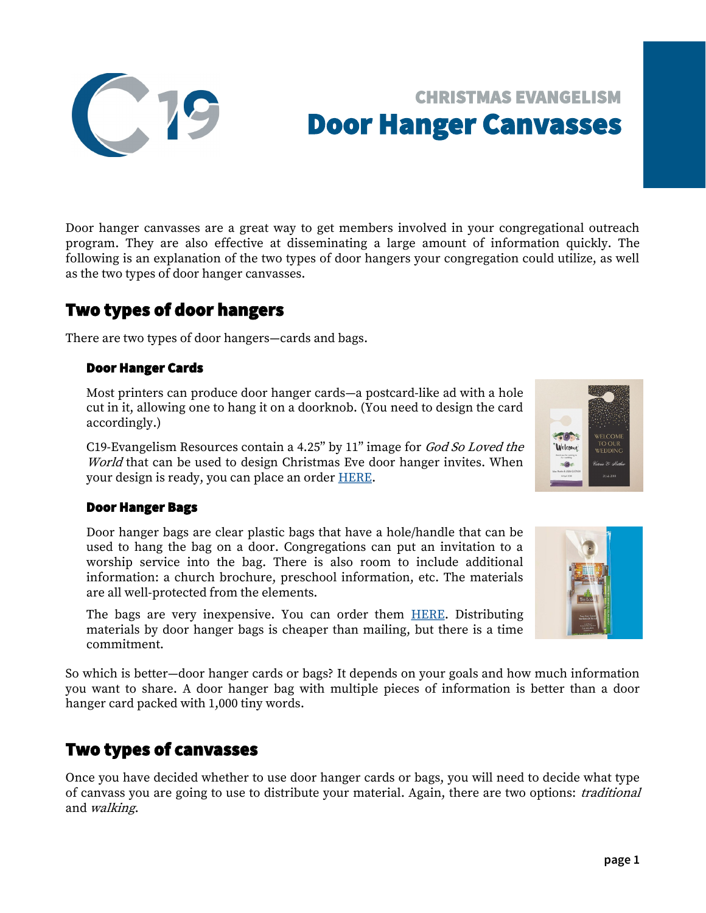Door hanger canvasses are a great way to get members involved in your congregational outreach program. They are also effective at disseminating a large amount of information quickly. The following is an explanation of the two types of door hangers your congregation could utilize, as well as the two types of door hanger canvasses.

# Two types of door hangers

There are two types of door hangers—cards and bags.

### Door Hanger Cards

Most printers can produce door hanger cards—a postcard-like ad with a hole cut in it, allowing one to hang it on a doorknob. (You need to design the card accordingly.)

C19-Evangelism Resources contain a 4.25" by 11" image for God So Loved the World that can be used to design Christmas Eve door hanger invites. When your design is ready, you can place an order [HERE.](https://www.echtprinting.com/wels-c19)

### Door Hanger Bags

Door hanger bags are clear plastic bags that have a hole/handle that can be used to hang the bag on a door. Congregations can put an invitation to a worship service into the bag. There is also room to include additional information: a church brochure, preschool information, etc. The materials are all well-protected from the elements.

The bags are very inexpensive. You can order them [HERE.](https://online.nph.net/clear-bags.html) Distributing materials by door hanger bags is cheaper than mailing, but there is a time commitment.

So which is better—door hanger cards or bags? It depends on your goals and how much information you want to share. A door hanger bag with multiple pieces of information is better than a door hanger card packed with 1,000 tiny words.

# Two types of canvasses

Once you have decided whether to use door hanger cards or bags, you will need to decide what type of canvass you are going to use to distribute your material. Again, there are two options: *traditional* and walking.







# CHRISTMAS EVANGELISM Door Hanger Canvasses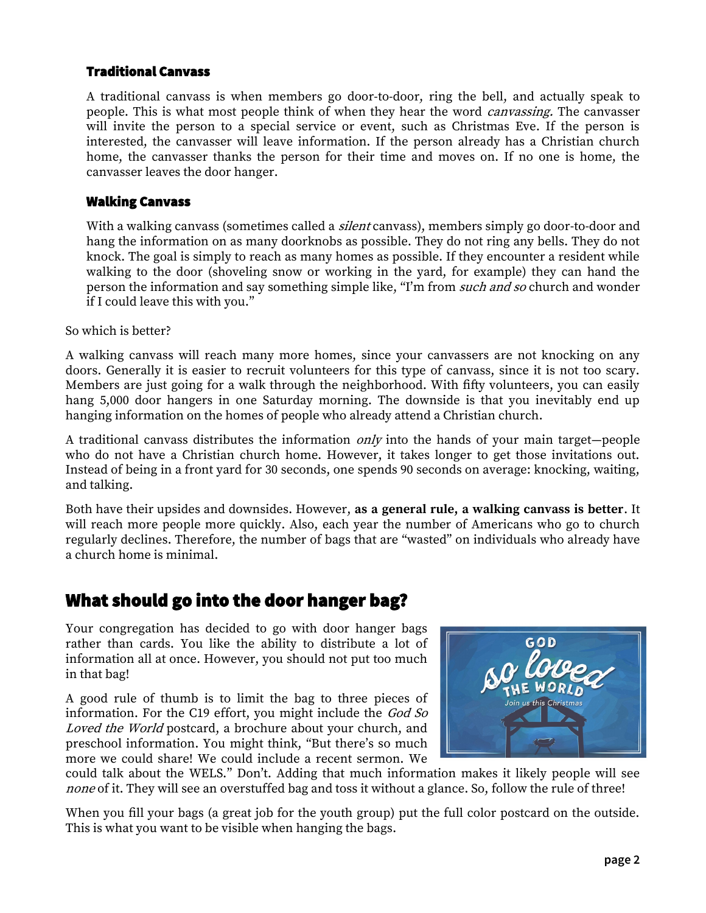### Traditional Canvass

A traditional canvass is when members go door-to-door, ring the bell, and actually speak to people. This is what most people think of when they hear the word *canvassing*. The canvasser will invite the person to a special service or event, such as Christmas Eve. If the person is interested, the canvasser will leave information. If the person already has a Christian church home, the canvasser thanks the person for their time and moves on. If no one is home, the canvasser leaves the door hanger.

### Walking Canvass

With a walking canvass (sometimes called a *silent* canvass), members simply go door-to-door and hang the information on as many doorknobs as possible. They do not ring any bells. They do not knock. The goal is simply to reach as many homes as possible. If they encounter a resident while walking to the door (shoveling snow or working in the yard, for example) they can hand the person the information and say something simple like, "I'm from *such and so* church and wonder if I could leave this with you."

So which is better?

A walking canvass will reach many more homes, since your canvassers are not knocking on any doors. Generally it is easier to recruit volunteers for this type of canvass, since it is not too scary. Members are just going for a walk through the neighborhood. With fifty volunteers, you can easily hang 5,000 door hangers in one Saturday morning. The downside is that you inevitably end up hanging information on the homes of people who already attend a Christian church.

A traditional canvass distributes the information only into the hands of your main target—people who do not have a Christian church home. However, it takes longer to get those invitations out. Instead of being in a front yard for 30 seconds, one spends 90 seconds on average: knocking, waiting, and talking.

Both have their upsides and downsides. However, **as a general rule, a walking canvass is better**. It will reach more people more quickly. Also, each year the number of Americans who go to church regularly declines. Therefore, the number of bags that are "wasted" on individuals who already have a church home is minimal.

### What should go into the door hanger bag?

Your congregation has decided to go with door hanger bags rather than cards. You like the ability to distribute a lot of information all at once. However, you should not put too much in that bag!

A good rule of thumb is to limit the bag to three pieces of information. For the C19 effort, you might include the God So Loved the World postcard, a brochure about your church, and preschool information. You might think, "But there's so much more we could share! We could include a recent sermon. We



could talk about the WELS." Don't. Adding that much information makes it likely people will see none of it. They will see an overstuffed bag and toss it without a glance. So, follow the rule of three!

When you fill your bags (a great job for the youth group) put the full color postcard on the outside. This is what you want to be visible when hanging the bags.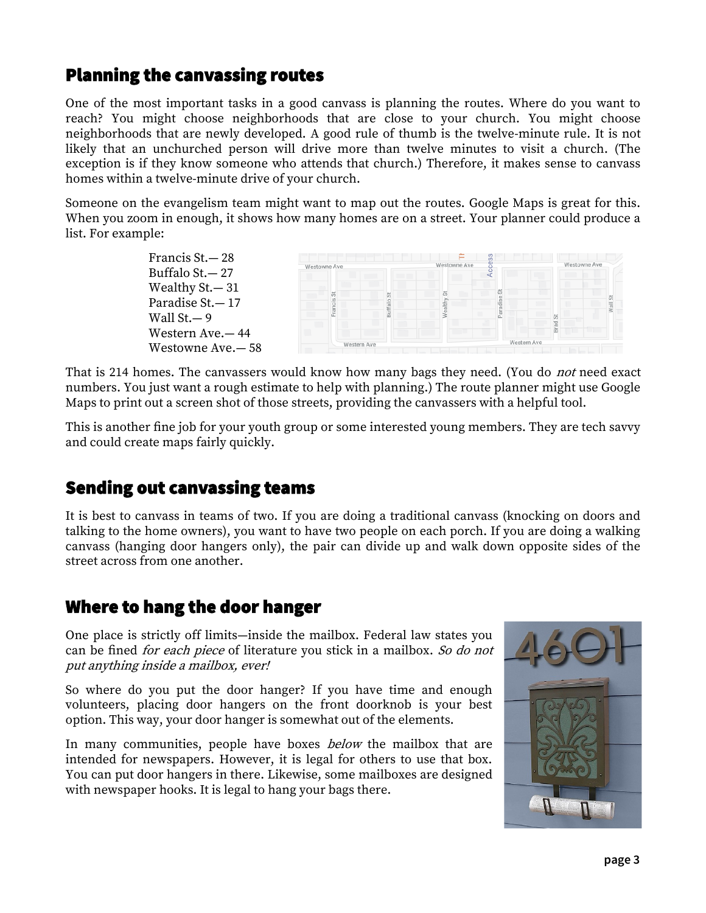# Planning the canvassing routes

One of the most important tasks in a good canvass is planning the routes. Where do you want to reach? You might choose neighborhoods that are close to your church. You might choose neighborhoods that are newly developed. A good rule of thumb is the twelve-minute rule. It is not likely that an unchurched person will drive more than twelve minutes to visit a church. (The exception is if they know someone who attends that church.) Therefore, it makes sense to canvass homes within a twelve-minute drive of your church.

Someone on the evangelism team might want to map out the routes. Google Maps is great for this. When you zoom in enough, it shows how many homes are on a street. Your planner could produce a list. For example:

> Francis St.— 28 Buffalo St.— 27 Wealthy St.— 31 Paradise St.— 17 Wall St.— 9 Western Ave.— 44 Westowne Ave.— 58



That is 214 homes. The canvassers would know how many bags they need. (You do *not* need exact numbers. You just want a rough estimate to help with planning.) The route planner might use Google Maps to print out a screen shot of those streets, providing the canvassers with a helpful tool.

This is another fine job for your youth group or some interested young members. They are tech savvy and could create maps fairly quickly.

# Sending out canvassing teams

It is best to canvass in teams of two. If you are doing a traditional canvass (knocking on doors and talking to the home owners), you want to have two people on each porch. If you are doing a walking canvass (hanging door hangers only), the pair can divide up and walk down opposite sides of the street across from one another.

### Where to hang the door hanger

One place is strictly off limits—inside the mailbox. Federal law states you can be fined *for each piece* of literature you stick in a mailbox. So do not put anything inside a mailbox, ever!

So where do you put the door hanger? If you have time and enough volunteers, placing door hangers on the front doorknob is your best option. This way, your door hanger is somewhat out of the elements.

In many communities, people have boxes *below* the mailbox that are intended for newspapers. However, it is legal for others to use that box. You can put door hangers in there. Likewise, some mailboxes are designed with newspaper hooks. It is legal to hang your bags there.

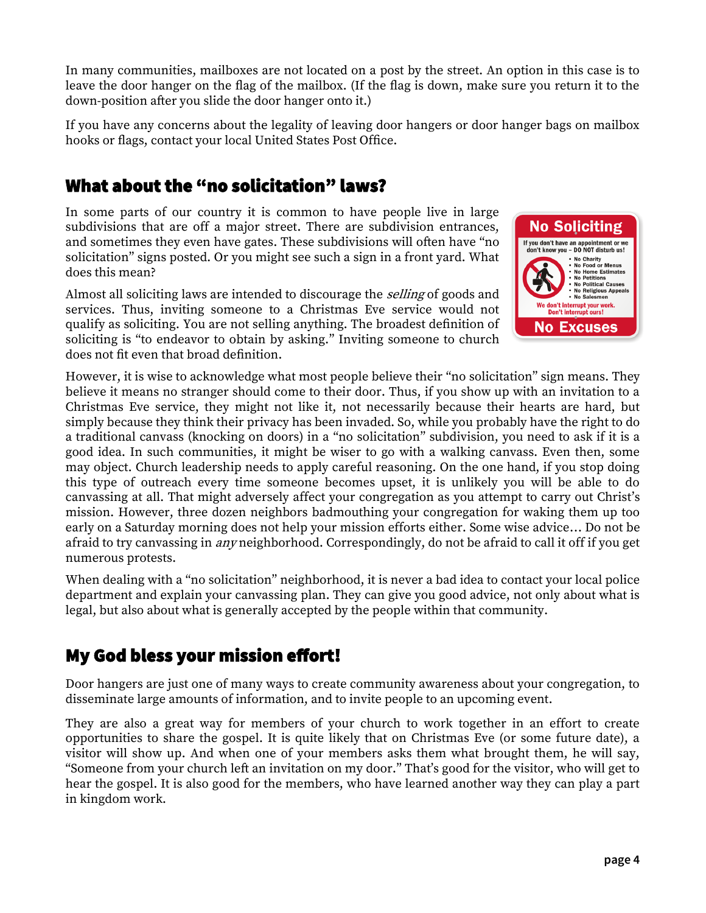In many communities, mailboxes are not located on a post by the street. An option in this case is to leave the door hanger on the flag of the mailbox. (If the flag is down, make sure you return it to the down-position after you slide the door hanger onto it.)

If you have any concerns about the legality of leaving door hangers or door hanger bags on mailbox hooks or flags, contact your local United States Post Office.

# What about the "no solicitation" laws?

In some parts of our country it is common to have people live in large subdivisions that are off a major street. There are subdivision entrances, and sometimes they even have gates. These subdivisions will often have "no solicitation" signs posted. Or you might see such a sign in a front yard. What does this mean?

Almost all soliciting laws are intended to discourage the *selling* of goods and services. Thus, inviting someone to a Christmas Eve service would not qualify as soliciting. You are not selling anything. The broadest definition of soliciting is "to endeavor to obtain by asking." Inviting someone to church does not fit even that broad definition.



However, it is wise to acknowledge what most people believe their "no solicitation" sign means. They believe it means no stranger should come to their door. Thus, if you show up with an invitation to a Christmas Eve service, they might not like it, not necessarily because their hearts are hard, but simply because they think their privacy has been invaded. So, while you probably have the right to do a traditional canvass (knocking on doors) in a "no solicitation" subdivision, you need to ask if it is a good idea. In such communities, it might be wiser to go with a walking canvass. Even then, some may object. Church leadership needs to apply careful reasoning. On the one hand, if you stop doing this type of outreach every time someone becomes upset, it is unlikely you will be able to do canvassing at all. That might adversely affect your congregation as you attempt to carry out Christ's mission. However, three dozen neighbors badmouthing your congregation for waking them up too early on a Saturday morning does not help your mission efforts either. Some wise advice… Do not be afraid to try canvassing in *any* neighborhood. Correspondingly, do not be afraid to call it off if you get numerous protests.

When dealing with a "no solicitation" neighborhood, it is never a bad idea to contact your local police department and explain your canvassing plan. They can give you good advice, not only about what is legal, but also about what is generally accepted by the people within that community.

# My God bless your mission effort!

Door hangers are just one of many ways to create community awareness about your congregation, to disseminate large amounts of information, and to invite people to an upcoming event.

They are also a great way for members of your church to work together in an effort to create opportunities to share the gospel. It is quite likely that on Christmas Eve (or some future date), a visitor will show up. And when one of your members asks them what brought them, he will say, "Someone from your church left an invitation on my door." That's good for the visitor, who will get to hear the gospel. It is also good for the members, who have learned another way they can play a part in kingdom work.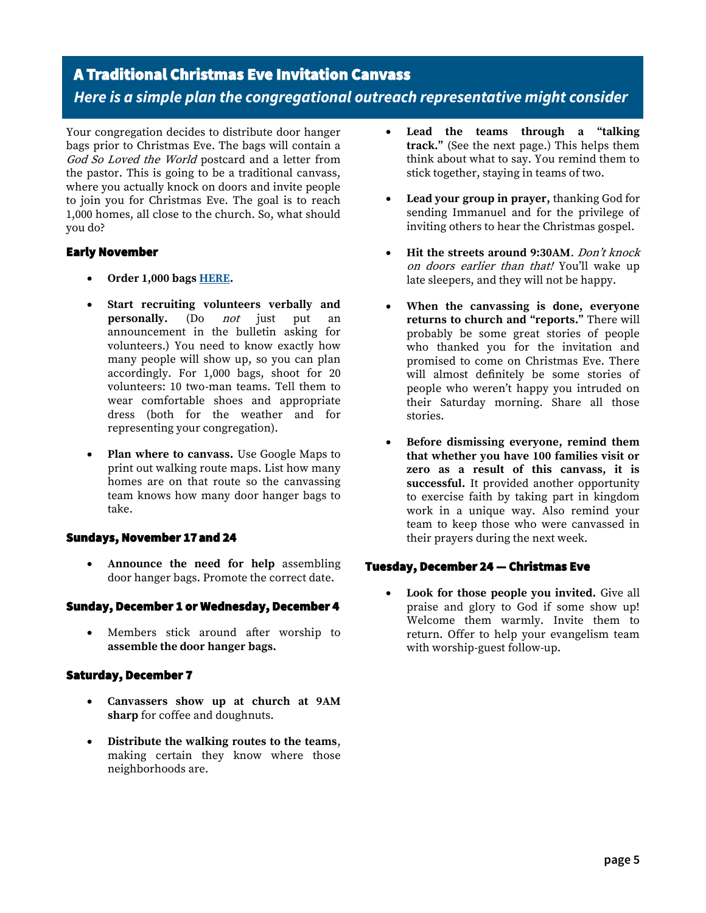# A Traditional Christmas Eve Invitation Canvass *Here is a simple plan the congregational outreach representative might consider*

Your congregation decides to distribute door hanger bags prior to Christmas Eve. The bags will contain a God So Loved the World postcard and a letter from the pastor. This is going to be a traditional canvass, where you actually knock on doors and invite people to join you for Christmas Eve. The goal is to reach 1,000 homes, all close to the church. So, what should you do?

#### Early November

- **Order 1,000 bags [HERE.](https://online.nph.net/clear-bags.html)**
- **Start recruiting volunteers verbally and personally.** (Do *not* just put an announcement in the bulletin asking for volunteers.) You need to know exactly how many people will show up, so you can plan accordingly. For 1,000 bags, shoot for 20 volunteers: 10 two-man teams. Tell them to wear comfortable shoes and appropriate dress (both for the weather and for representing your congregation).
- **Plan where to canvass.** Use Google Maps to print out walking route maps. List how many homes are on that route so the canvassing team knows how many door hanger bags to take.

#### Sundays, November 17 and 24

• **Announce the need for help** assembling door hanger bags. Promote the correct date.

#### Sunday, December 1 or Wednesday, December 4

Members stick around after worship to **assemble the door hanger bags.** 

#### Saturday, December 7

- **Canvassers show up at church at 9AM sharp** for coffee and doughnuts.
- **Distribute the walking routes to the teams**, making certain they know where those neighborhoods are.
- **Lead the teams through a "talking track."** (See the next page.) This helps them think about what to say. You remind them to stick together, staying in teams of two.
- **Lead your group in prayer,** thanking God for sending Immanuel and for the privilege of inviting others to hear the Christmas gospel.
- **Hit the streets around 9:30AM**. Don't knock on doors earlier than that! You'll wake up late sleepers, and they will not be happy.
- **When the canvassing is done, everyone returns to church and "reports."** There will probably be some great stories of people who thanked you for the invitation and promised to come on Christmas Eve. There will almost definitely be some stories of people who weren't happy you intruded on their Saturday morning. Share all those stories.
- **Before dismissing everyone, remind them that whether you have 100 families visit or zero as a result of this canvass, it is successful.** It provided another opportunity to exercise faith by taking part in kingdom work in a unique way. Also remind your team to keep those who were canvassed in their prayers during the next week.

#### Tuesday, December 24 — Christmas Eve

• **Look for those people you invited.** Give all praise and glory to God if some show up! Welcome them warmly. Invite them to return. Offer to help your evangelism team with worship-guest follow-up.